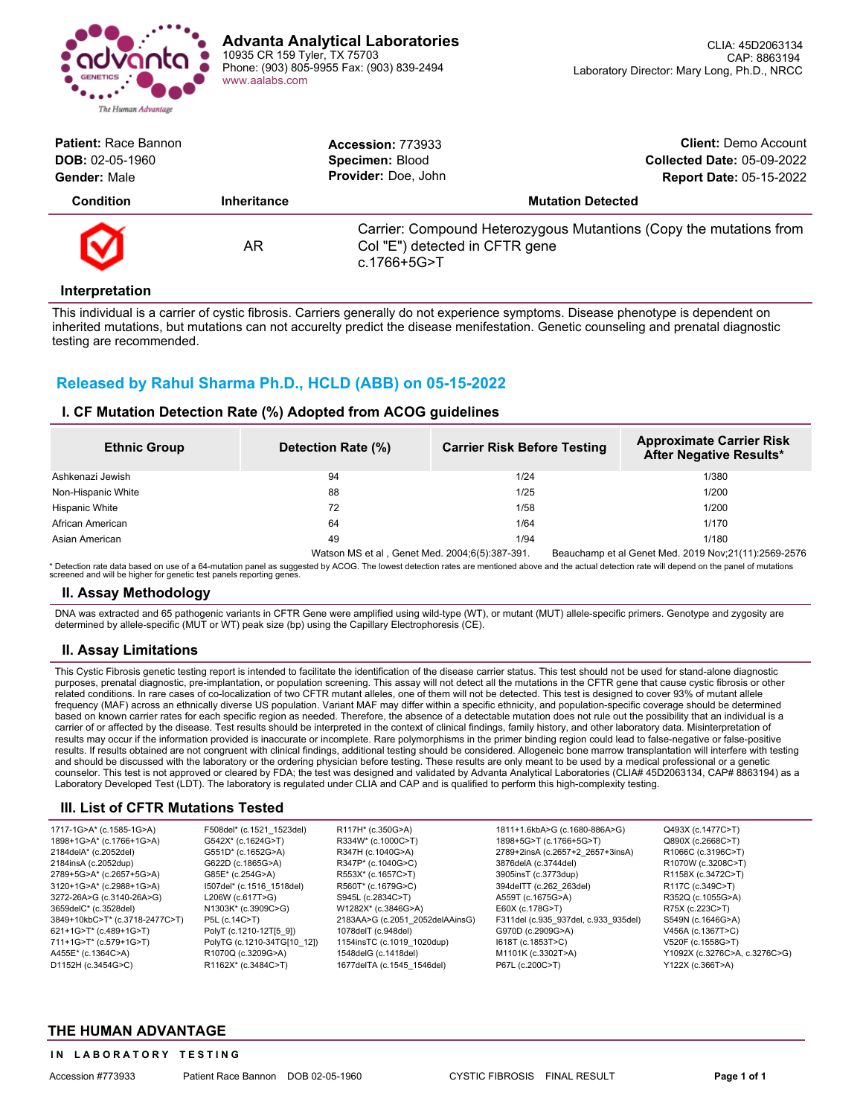

| <b>Patient: Race Bannon</b><br>$DOB: 02-05-1960$<br>Gender: Male |                    | <b>Accession: 773933</b><br>Specimen: Blood<br>Provider: Doe, John | <b>Client:</b> Demo Account<br><b>Collected Date: 05-09-2022</b><br><b>Report Date: 05-15-2022</b> |
|------------------------------------------------------------------|--------------------|--------------------------------------------------------------------|----------------------------------------------------------------------------------------------------|
| <b>Condition</b>                                                 | <b>Inheritance</b> | <b>Mutation Detected</b>                                           |                                                                                                    |
| $\boldsymbol{\varnothing}$                                       | AR                 | Col "E") detected in CFTR gene<br>c.1766+5G>T                      | Carrier: Compound Heterozygous Mutantions (Copy the mutations from                                 |

#### **Interpretation**

This individual is a carrier of cystic fibrosis. Carriers generally do not experience symptoms. Disease phenotype is dependent on inherited mutations, but mutations can not accurelty predict the disease menifestation. Genetic counseling and prenatal diagnostic testing are recommended.

## **Released by Rahul Sharma Ph.D., HCLD (ABB) on 05-15-2022**

### **I. CF Mutation Detection Rate (%) Adopted from ACOG guidelines**

| <b>Ethnic Group</b> | Detection Rate (%) | <b>Carrier Risk Before Testing</b> | <b>Approximate Carrier Risk</b><br>After Negative Results* |
|---------------------|--------------------|------------------------------------|------------------------------------------------------------|
| Ashkenazi Jewish    | 94                 | 1/24                               | 1/380                                                      |
| Non-Hispanic White  | 88                 | 1/25                               | 1/200                                                      |
| Hispanic White      | 72                 | 1/58                               | 1/200                                                      |
| African American    | 64                 | 1/64                               | 1/170                                                      |
| Asian American      | 49                 | 1/94                               | 1/180                                                      |

Watson MS et al , Genet Med. 2004;6(5):387-391. Beauchamp et al Genet Med. 2019 Nov;21(11):2569-2576 Detection rate data based on use of a 64-mutation panel as suggested by ACOG. The lowest detection rates are mentioned above and the actual detection rate will depend on the panel of mutations screened and will be higher for genetic test panels reporting genes.

#### **II. Assay Methodology**

DNA was extracted and 65 pathogenic variants in CFTR Gene were amplified using wild-type (WT), or mutant (MUT) allele-specific primers. Genotype and zygosity are determined by allele-specific (MUT or WT) peak size (bp) using the Capillary Electrophoresis (CE).

#### **II. Assay Limitations**

This Cystic Fibrosis genetic testing report is intended to facilitate the identification of the disease carrier status. This test should not be used for stand-alone diagnostic purposes, prenatal diagnostic, pre-implantation, or population screening. This assay will not detect all the mutations in the CFTR gene that cause cystic fibrosis or other related conditions. In rare cases of co-localization of two CFTR mutant alleles, one of them will not be detected. This test is designed to cover 93% of mutant allele frequency (MAF) across an ethnically diverse US population. Variant MAF may differ within a specific ethnicity, and population-specific coverage should be determined based on known carrier rates for each specific region as needed. Therefore, the absence of a detectable mutation does not rule out the possibility that an individual is a carrier of or affected by the disease. Test results should be interpreted in the context of clinical findings, family history, and other laboratory data. Misinterpretation of results may occur if the information provided is inaccurate or incomplete. Rare polymorphisms in the primer binding region could lead to false-negative or false-positive results. If results obtained are not congruent with clinical findings, additional testing should be considered. Allogeneic bone marrow transplantation will interfere with testing and should be discussed with the laboratory or the ordering physician before testing. These results are only meant to be used by a medical professional or a genetic counselor. This test is not approved or cleared by FDA; the test was designed and validated by Advanta Analytical Laboratories (CLIA# 45D2063134, CAP# 8863194) as a Laboratory Developed Test (LDT). The laboratory is regulated under CLIA and CAP and is qualified to perform this high-complexity testing.

#### **III. List of CFTR Mutations Tested**

| 1717-1G>A* (c.1585-1G>A)       | F508del* (c.1521 1523del)   | R117H* (c.350G>A)               | 1811+1.6kbA>G (c.1680-886A>G)        | Q493X (c.1477C>T)             |
|--------------------------------|-----------------------------|---------------------------------|--------------------------------------|-------------------------------|
| 1898+1G>A* (c.1766+1G>A)       | G542X* (c.1624G>T)          | R334W* (c.1000C>T)              | 1898+5G>T (c.1766+5G>T)              | Q890X (c.2668C>T)             |
| 2184delA* (c.2052del)          | G551D* (c.1652G>A)          | R347H (c.1040G>A)               | 2789+2insA (c.2657+2 2657+3insA)     | R1066C (c.3196C>T)            |
| 2184insA (c.2052dup)           | G622D (c.1865G>A)           | R347P* (c.1040G>C)              | 3876delA (c.3744del)                 | R1070W (c.3208C>T)            |
| 2789+5G>A* (c.2657+5G>A)       | G85E* (c.254G>A)            | R553X* (c.1657C>T)              | 3905insT (c.3773dup)                 | R1158X (c.3472C>T)            |
| 3120+1G>A* (c.2988+1G>A)       | 1507del* (c.1516 1518del)   | R560T* (c.1679G>C)              | 394 del TT (c. 262 263 del)          | R117C (c.349C>T)              |
| 3272-26A>G (c.3140-26A>G)      | L206W (c.617T>G)            | S945L (c.2834C>T)               | A559T (c.1675G>A)                    | R352Q (c.1055G>A)             |
| 3659delC* (c.3528del)          | N1303K* (c.3909C>G)         | W1282X* (c.3846G>A)             | E60X (c.178G>T)                      | R75X (c.223C>T)               |
| 3849+10kbC>T* (c.3718-2477C>T) | P5L (c.14C>T)               | 2183AA>G (c.2051 2052delAAinsG) | F311del (c.935 937del, c.933 935del) | S549N (c.1646G>A)             |
| 621+1G>T* (c.489+1G>T)         | PolyT (c.1210-12T[5 9])     | 1078delT (c.948del)             | G970D (c.2909G>A)                    | V456A (c.1367T>C)             |
| 711+1G>T* (c.579+1G>T)         | PolyTG (c.1210-34TG[10 12]) | 1154insTC (c.1019 1020dup)      | I618T (c.1853T>C)                    | V520F (c.1558G>T)             |
| A455E* (c.1364C>A)             | R1070Q (c.3209G>A)          | 1548 del G (c. 1418 del)        | M1101K (c.3302T>A)                   | Y1092X (c.3276C>A, c.3276C>G) |
| D1152H (c.3454G>C)             | R1162X* (c.3484C>T)         | 1677delTA (c.1545 1546del)      | P67L (c.200C>T)                      | Y122X (c.366T>A)              |
|                                |                             |                                 |                                      |                               |

### **THE HUMAN ADVANTAGE**

#### **IN LABORATORY TESTING**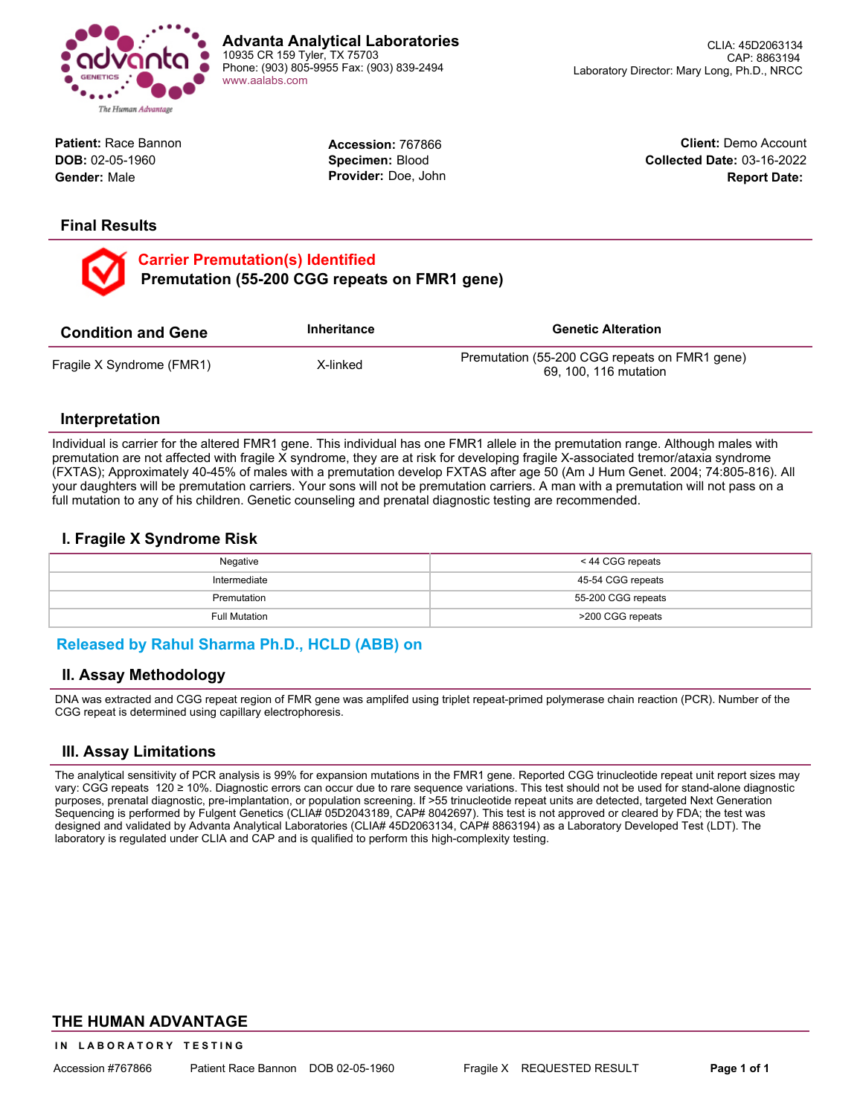

**Advanta Analytical Laboratories** 10935 CR 159 Tyler, TX 75703 Phone: (903) 805-9955 Fax: (903) 839-2494 [www.aalabs.com](https://www.aalabs.com)

> **Accession:** 767866 **Specimen:** Blood **Provider:** Doe, John

**Client:** Demo Account **Collected Date:** 03-16-2022

**Report Date:**

**Patient:** Race Bannon **DOB:** 02-05-1960 **Gender:** Male

## **Final Results**

**Carrier Premutation(s) Identified Premutation (55-200 CGG repeats on FMR1 gene)** 

| <b>Condition and Gene</b> | Inheritance | <b>Genetic Alteration</b>                                              |
|---------------------------|-------------|------------------------------------------------------------------------|
| Fragile X Syndrome (FMR1) | X-linked    | Premutation (55-200 CGG repeats on FMR1 gene)<br>69, 100, 116 mutation |

### **Interpretation**

Individual is carrier for the altered FMR1 gene. This individual has one FMR1 allele in the premutation range. Although males with premutation are not affected with fragile X syndrome, they are at risk for developing fragile X-associated tremor/ataxia syndrome (FXTAS); Approximately 40-45% of males with a premutation develop FXTAS after age 50 (Am J Hum Genet. 2004; 74:805-816). All your daughters will be premutation carriers. Your sons will not be premutation carriers. A man with a premutation will not pass on a full mutation to any of his children. Genetic counseling and prenatal diagnostic testing are recommended.

## **I. Fragile X Syndrome Risk**

| Negative      | < 44 CGG repeats   |  |  |
|---------------|--------------------|--|--|
| Intermediate  | 45-54 CGG repeats  |  |  |
| Premutation   | 55-200 CGG repeats |  |  |
| Full Mutation | >200 CGG repeats   |  |  |

## **Released by Rahul Sharma Ph.D., HCLD (ABB) on**

### **II. Assay Methodology**

DNA was extracted and CGG repeat region of FMR gene was amplifed using triplet repeat-primed polymerase chain reaction (PCR). Number of the CGG repeat is determined using capillary electrophoresis.

## **III. Assay Limitations**

The analytical sensitivity of PCR analysis is 99% for expansion mutations in the FMR1 gene. Reported CGG trinucleotide repeat unit report sizes may vary: CGG repeats 120 ≥ 10%. Diagnostic errors can occur due to rare sequence variations. This test should not be used for stand-alone diagnostic purposes, prenatal diagnostic, pre-implantation, or population screening. If >55 trinucleotide repeat units are detected, targeted Next Generation Sequencing is performed by Fulgent Genetics (CLIA# 05D2043189, CAP# 8042697). This test is not approved or cleared by FDA; the test was designed and validated by Advanta Analytical Laboratories (CLIA# 45D2063134, CAP# 8863194) as a Laboratory Developed Test (LDT). The laboratory is regulated under CLIA and CAP and is qualified to perform this high-complexity testing.

### **THE HUMAN ADVANTAGE**

**IN LABORATORY TESTING**